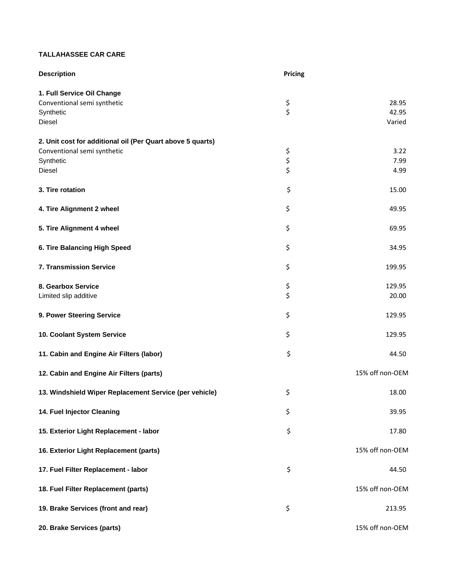## **TALLAHASSEE CAR CARE**

| <b>Description</b>                                                                                               | Pricing                               |                          |
|------------------------------------------------------------------------------------------------------------------|---------------------------------------|--------------------------|
| 1. Full Service Oil Change<br>Conventional semi synthetic<br>Synthetic<br>Diesel                                 | $\begin{array}{c} 5 \\ 5 \end{array}$ | 28.95<br>42.95<br>Varied |
| 2. Unit cost for additional oil (Per Quart above 5 quarts)<br>Conventional semi synthetic<br>Synthetic<br>Diesel | \$<br>\$<br>\$                        | 3.22<br>7.99<br>4.99     |
| 3. Tire rotation                                                                                                 | \$                                    | 15.00                    |
| 4. Tire Alignment 2 wheel                                                                                        | \$                                    | 49.95                    |
| 5. Tire Alignment 4 wheel                                                                                        | \$                                    | 69.95                    |
| 6. Tire Balancing High Speed                                                                                     | \$                                    | 34.95                    |
| 7. Transmission Service                                                                                          | \$                                    | 199.95                   |
| 8. Gearbox Service<br>Limited slip additive                                                                      | \$<br>\$                              | 129.95<br>20.00          |
| 9. Power Steering Service                                                                                        | \$                                    | 129.95                   |
| 10. Coolant System Service                                                                                       | \$                                    | 129.95                   |
| 11. Cabin and Engine Air Filters (labor)                                                                         | \$                                    | 44.50                    |
| 12. Cabin and Engine Air Filters (parts)                                                                         |                                       | 15% off non-OEM          |
| 13. Windshield Wiper Replacement Service (per vehicle)                                                           | \$                                    | 18.00                    |
| 14. Fuel Injector Cleaning                                                                                       | \$                                    | 39.95                    |
| 15. Exterior Light Replacement - labor                                                                           | \$                                    | 17.80                    |
| 16. Exterior Light Replacement (parts)                                                                           |                                       | 15% off non-OEM          |
| 17. Fuel Filter Replacement - labor                                                                              | \$                                    | 44.50                    |
| 18. Fuel Filter Replacement (parts)                                                                              |                                       | 15% off non-OEM          |
| 19. Brake Services (front and rear)                                                                              | \$                                    | 213.95                   |
| 20. Brake Services (parts)                                                                                       |                                       | 15% off non-OEM          |